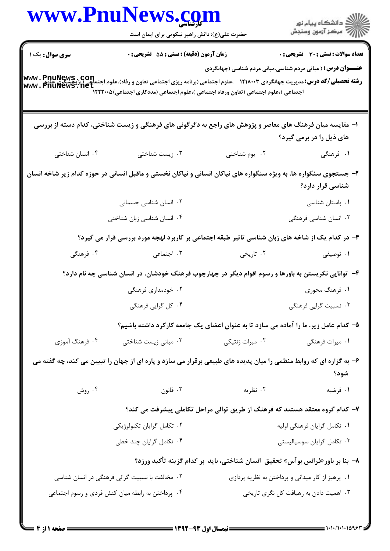|                        | www.PnuNews.com                                                                                                                                                                                                                                          |                            |                                                                                 |
|------------------------|----------------------------------------------------------------------------------------------------------------------------------------------------------------------------------------------------------------------------------------------------------|----------------------------|---------------------------------------------------------------------------------|
|                        | حضرت علی(ع): دانش راهبر نیکویی برای ایمان است                                                                                                                                                                                                            |                            | ر دانشگاه پيام نور<br>ا∛هرکز آزمون وسنجش                                        |
| <b>سری سوال :</b> یک ۱ | زمان آزمون (دقیقه) : تستی : 55 آتشریحی : 0                                                                                                                                                                                                               |                            | <b>تعداد سوالات : تستی : 30 ٪ تشریحی : 0</b>                                    |
|                        |                                                                                                                                                                                                                                                          |                            | <b>عنـــوان درس:</b> ( مبانی مردم شناسی،مبانی مردم شناسی (جهانگردی              |
|                        | <b>رشته تحصیلی/کد درس:</b> مدیریت جهانگردی ۱۲۱۸۰۰۳ - ،علوم اجتماعی (برنامه ریزی اجتماعی تعاون و رفاه)،علوم اجتماعی (پژوهشگری www . PnuNews<br>www . PhuNews . net<br>اجتماعی )،علوم اجتماعی (تعاون ورفاه اجتماعی )،علوم اجتماعی (مددکاری اجتماعی)۱۲۲۲۰۰۵ |                            |                                                                                 |
|                        |                                                                                                                                                                                                                                                          |                            |                                                                                 |
|                        | ا– مقایسه میان فرهنگ های معاصر و پژوهش های راجع به دگرگونی های فرهنگی و زیست شناختی، کدام دسته از بررسی                                                                                                                                                  |                            |                                                                                 |
|                        |                                                                                                                                                                                                                                                          |                            | های ذیل را در برمی گیرد؟                                                        |
| ۰۴ انسان شناختی        | ۰۳ زیست شناختی                                                                                                                                                                                                                                           | ۰۲ بوم شناختی              | ۱. فرهنگی                                                                       |
|                        | ۲- جستجوی سنگواره ها، به ویژه سنگواره های نیاکان انسانی و نیاکان نخستی و ماقبل انسانی در حوزه کدام زیر شاخه انسان                                                                                                                                        |                            | شناسی قرار دارد؟                                                                |
|                        | ۰۲ انسان شناسی جسمانی                                                                                                                                                                                                                                    |                            | ٠١ باستان شناسى                                                                 |
|                        | ۰۴ انسان شناسی زبان شناختی                                                                                                                                                                                                                               |                            | ۰۳ انسان شناسی فرهنگی                                                           |
|                        | ۳– در کدام یک از شاخه های زبان شناسی تاثیر طبقه اجتماعی بر کاربرد لهجه مورد بررسی قرار می گیرد؟                                                                                                                                                          |                            |                                                                                 |
| ۰۴ فرهنگی              | ۰۳ اجتماعی                                                                                                                                                                                                                                               | ۰۲ تاریخی                  | ۰۱ توصیفی                                                                       |
|                        | ۴- توانایی نگریستن به باورها و رسوم اقوام دیگر در چهارچوب فرهنگ خودشان، در انسان شناسی چه نام دارد؟                                                                                                                                                      |                            |                                                                                 |
|                        | ۰۲ خودمداری فرهنگی                                                                                                                                                                                                                                       |                            | ۱. فرهنگ محوری                                                                  |
|                        | ۰۴ کل گرایی فرهنگی                                                                                                                                                                                                                                       |                            | ۰۳ نسبیت گرایی فرهنگی                                                           |
|                        | ۵– کدام عامل زیر، ما را آماده می سازد تا به عنوان اعضای یک جامعه کارکرد داشته باشیم؟                                                                                                                                                                     |                            |                                                                                 |
| ۰۴ فرهنگ آموزی         | ۰۳ مبانی زیست شناختی                                                                                                                                                                                                                                     | ۰۲ میراث ژنتیکی            | ۰۱ میراث فرهنگی                                                                 |
|                        | ۶- به گزاره ای که روابط منظمی را میان پدیده های طبیعی برقرار می سازد و پاره ای از جهان را تبیین می کند، چه گفته می                                                                                                                                       |                            | شود؟                                                                            |
| ۰۴ روش                 | ۰۳ قانون                                                                                                                                                                                                                                                 | ۰۲ نظریه                   | ۰۱ فرضیه                                                                        |
|                        |                                                                                                                                                                                                                                                          |                            | ۷– کدام گروه معتقد هستند که فرهنگ از طریق توالی مراحل تکاملی پیشرفت می کند؟     |
|                        | ۰۲ تکامل گرایان تکنولوژیکی                                                                                                                                                                                                                               |                            | ۰۱ تکامل گرایان فرهنگی اولیه                                                    |
|                        | ۰۴ تکامل گرایان چند خطی                                                                                                                                                                                                                                  | ۰۳ تکامل گرایان سوسیالیستی |                                                                                 |
|                        |                                                                                                                                                                                                                                                          |                            | ٨– بنا بر باور«فرانس بوآس» تحقیق  انسان شناختی، باید  بر کدام گزینه تأکید ورزد؟ |
|                        | ۰۲ مخالفت با نسبیت گرائی فرهنگی در انسان شناسی                                                                                                                                                                                                           |                            | ۰۱ پرهیز از کار میدانی و پرداختن به نظریه پردازی                                |
|                        | ۰۴ پرداختن به رابطه میان کنش فردی و رسوم اجتماعی                                                                                                                                                                                                         |                            | ۰۳ اهمیت دادن به رهیافت کل نگری تاریخی                                          |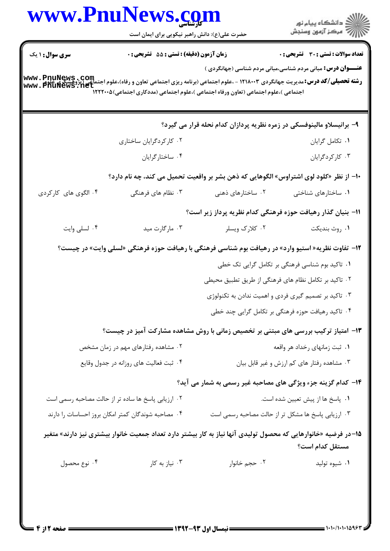|                                     | حضرت علی(ع): دانش راهبر نیکویی برای ایمان است                                          |                                                    | ر<br>دانشڪاه پيام نور)<br>اڳ مرڪز آزمون وسنڊش                                                                                                                                                                                            |
|-------------------------------------|----------------------------------------------------------------------------------------|----------------------------------------------------|------------------------------------------------------------------------------------------------------------------------------------------------------------------------------------------------------------------------------------------|
| <b>سری سوال : ۱ یک</b>              | زمان آزمون (دقیقه) : تستی : 55 آتشریحی : 0                                             |                                                    | <b>تعداد سوالات : تستی : 30 ٪ تشریحی : 0</b>                                                                                                                                                                                             |
|                                     | اجتماعی )،علوم اجتماعی (تعاون ورفاه اجتماعی )،علوم اجتماعی (مددکاری اجتماعی)۱۲۲۲۰۰۵    |                                                    | <b>عنـــوان درس:</b> مبانی مردم شناسی،مبانی مردم شناسی (جهانگردی )<br><b>رشته تحصیلی/کد درس:</b> مدیریت جهانگردی ۱۲۱۸۰۰۳ - ،علوم اجتماعی (برنامه ریزی اجتماعی تعاون و رفاه)،علوم اجتماعی (پژوهشگری www . PnuNews<br> www . PhuNews . Net |
|                                     |                                                                                        |                                                    | ۹- برانیسلاو مالینوفسکی در زمره نظریه پردازان کدام نحله قرار می گیرد؟                                                                                                                                                                    |
|                                     | ۰۲ کارکردگرایان ساختاری                                                                |                                                    | ٠١ تكامل گرايان                                                                                                                                                                                                                          |
|                                     | ۰۴ ساختارگرايان                                                                        |                                                    | ۰۳ کارکردگرایان                                                                                                                                                                                                                          |
|                                     |                                                                                        |                                                    | +ا– از نظر «کلود لوی اشتراوس» الگوهایی که ذهن بشر بر واقعیت تحمیل می کند، چه نام دارد؟                                                                                                                                                   |
| ۰۴ الگوی های کارکردی                | ۰۳ نظام های فرهنگی                                                                     | ۰۲ ساختارهای ذهنی                                  | ۰۱ ساختارهای شناختی                                                                                                                                                                                                                      |
|                                     |                                                                                        |                                                    | 1۱– بنیان گذار رهیافت حوزه فرهنگی کدام نظریه پرداز زیر است؟                                                                                                                                                                              |
| ۰۴ لسلی وایت                        | ۰۳ مارگارت مید                                                                         | ۰۲ کلارک ویسلر                                     | ۰۱ روث بنديكت                                                                                                                                                                                                                            |
|                                     |                                                                                        |                                                    | ۱۲– تفاوت نظریه« استیو وارد» در رهیافت بوم شناسی فرهنگی با رهیافت حوزه فرهنگی «لسلی وایت» در چیست؟                                                                                                                                       |
|                                     |                                                                                        |                                                    | ۰۱ تاکید بوم شناسی فرهنگی بر تکامل گرایی تک خطی                                                                                                                                                                                          |
|                                     |                                                                                        |                                                    | ۰۲ تاکید بر تکامل نظام های فرهنگی از طریق تطبیق محیطی                                                                                                                                                                                    |
|                                     |                                                                                        |                                                    | ۰۳ تاکید بر تصمیم گیری فردی و اهمیت ندادن به تکنولوژی                                                                                                                                                                                    |
|                                     |                                                                                        |                                                    | ۰۴ تاکید رهیافت حوزه فرهنگی بر تکامل گرایی چند خطی                                                                                                                                                                                       |
|                                     |                                                                                        |                                                    | ۱۳- امتیاز ترکیب بررسی های مبتنی بر تخصیص زمانی با روش مشاهده مشارکت آمیز در چیست؟                                                                                                                                                       |
| ۰۲ مشاهده رفتارهای مهم در زمان مشخص |                                                                                        | ۰۱ ثبت زمانهای رخداد هر واقعه                      |                                                                                                                                                                                                                                          |
|                                     | ۰۴ ثبت فعالیت های روزانه در جدول وقایع                                                 |                                                    | ۰۳ مشاهده رفتار های کم ارزش و غیر قابل بیان                                                                                                                                                                                              |
|                                     |                                                                                        |                                                    | ۱۴- کدام گزینه جزء ویژگی های مصاحبه غیر رسمی به شمار می آید؟                                                                                                                                                                             |
|                                     | ۰۲ ارزیابی پاسخ ها ساده تر از حالت مصاحبه رسمی است<br>۰۱ پاسخ ها از پیش تعیین شده است. |                                                    |                                                                                                                                                                                                                                          |
|                                     | ۰۴ مصاحبه شوندگان کمتر امکان بروز احساسات را دارند                                     | ۰۳ ارزیابی پاسخ ها مشکل تر از حالت مصاحبه رسمی است |                                                                                                                                                                                                                                          |
|                                     |                                                                                        |                                                    | ۱۵–در فرضیه «خانوارهایی که محصول تولیدی آنها نیاز به کار بیشتر دارد تعداد جمعیت خانوار بیشتری نیز دارند» متغیر<br>مستقل كدام است؟                                                                                                        |
| ۰۴ نوع محصول                        | ۰۳ نیاز به کار                                                                         | ۰۲ حجم خانوار                                      | ۰۱ شیوه تولید                                                                                                                                                                                                                            |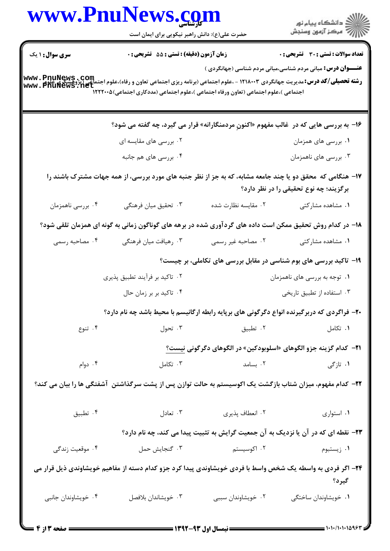|                     | www.PnuNews.com<br>حضرت علی(ع): دانش راهبر نیکویی برای ایمان است                                                                                                                                                                                                           |                                                                                            | ِ<br>∭ دانشڪاه پيام نور<br>∭ مرڪز آزمون وسنڊش                      |
|---------------------|----------------------------------------------------------------------------------------------------------------------------------------------------------------------------------------------------------------------------------------------------------------------------|--------------------------------------------------------------------------------------------|--------------------------------------------------------------------|
| سری سوال : ۱ یک     | زمان آزمون (دقیقه) : تستی : 55 تشریحی : 0                                                                                                                                                                                                                                  |                                                                                            | <b>تعداد سوالات : تستی : 30 ٪ تشریحی : 0</b>                       |
|                     | <b>www . PnuNews , Com</b><br>ر <b>شته تحصیلی/کد درس:</b> مدیریت جهانگردی ۱۲۱۸۰۰۳ - ،علوم اجتماعی (برنامه ریزی اجتماعی تعاون و رفاه)،علوم اجتماعی (پژوهشگری<br>www . PhuNews . net<br>اجتماعی )،علوم اجتماعی (تعاون ورفاه اجتماعی )،علوم اجتماعی (مددکاری اجتماعی) ۱۲۲۲۰۰۵ |                                                                                            | <b>عنـــوان درس:</b> مبانی مردم شناسی،مبانی مردم شناسی (جهانگردی ) |
|                     | ۱۶- به بررسی هایی که در  غالب مفهوم «اکنونِ مردمنگارانه» قرار می گیرد، چه گفته می شود؟                                                                                                                                                                                     |                                                                                            |                                                                    |
|                     | ۰۲ بررسی های مقایسه ای                                                                                                                                                                                                                                                     |                                                                                            | ۰۱ بررسی های همزمان                                                |
|                     | ۰۴ بررسی های هم جانبه                                                                                                                                                                                                                                                      |                                                                                            | ۰۳ بررسی های ناهمزمان                                              |
|                     | ۱۷– هنگامی که محقق دو یا چند جامعه مشابه، که به جز از نظر جنبه های مورد بررسی، از همه جهات مشترک باشند را                                                                                                                                                                  |                                                                                            | برگزیند؛ چه نوع تحقیقی را در نظر دارد؟                             |
| ۰۴ بررسي ناهمزمان   | ۰۳ تحقیق میان فرهنگی                                                                                                                                                                                                                                                       | ۰۲ مقايسه نظارت شده                                                                        | ۰۱ مشاهده مشارکتی                                                  |
|                     | ۱۸– در کدام روش تحقیق ممکن است داده های گردآوری شده در برهه های گوناگون زمانی به گونه ای همزمان تلقی شود؟                                                                                                                                                                  |                                                                                            |                                                                    |
| ۰۴ مصاحبه رسمی      | ۰۳ رهیافت میان فرهنگی                                                                                                                                                                                                                                                      | ۰۲ مصاحبه غیر رسمی                                                                         | ۰۱ مشاهده مشارکتی                                                  |
|                     |                                                                                                                                                                                                                                                                            | ۱۹- تاکید بررسی های بوم شناسی در مقابل بررسی های تکاملی، بر چیست؟                          |                                                                    |
|                     | ۰۲ تاکید بر فرآیند تطبیق پذیری                                                                                                                                                                                                                                             |                                                                                            | ۰۱ توجه به بررسی های ناهمزمان                                      |
|                     | ۰۴ تاکید بر بر زمان حال                                                                                                                                                                                                                                                    |                                                                                            | ۰۳ استفاده از تطبيق تاريخي                                         |
|                     | ۲۰- فراگردی که دربرگیرنده انواع دگرگونی های برپایه رابطه ارگانیسم با محیط باشد چه نام دارد؟                                                                                                                                                                                |                                                                                            |                                                                    |
| ۰۴ تنوع             | ۰۳ تحول                                                                                                                                                                                                                                                                    | ۰۲ تطبیق                                                                                   | ۰۱ تکامل                                                           |
|                     |                                                                                                                                                                                                                                                                            | ۲۱− کدام گزینه جزو الگوهای «اسلوبودکین» در الگوهای دگرگونی نیست؟                           |                                                                    |
| ۰۴ دوام             | ۰۳ تکامل                                                                                                                                                                                                                                                                   |                                                                                            | ۰ <b>۱</b> تازگی مسامد                                             |
|                     | ۲۲– کدام مفهوم، میزان شتاب بازگشت یک اکوسیستم به حالت توازن پس از پشت سرگذاشتن آشفتگی ها را بیان می کند؟                                                                                                                                                                   |                                                                                            |                                                                    |
| ۰۴ تطبيق            | ۰۲ انعطاف پذیری سیست ۲۰ تعادل                                                                                                                                                                                                                                              |                                                                                            | ۰۱ استواری                                                         |
|                     |                                                                                                                                                                                                                                                                            | <b>۲۳</b> – نقطه ای که در آن یا نزدیک به آن جمعیت گرایش به تثبیت پیدا می کند، چه نام دارد؟ |                                                                    |
| ۰۴ موقعیت زندگی     | ۰۳ گنجایش حمل                                                                                                                                                                                                                                                              |                                                                                            |                                                                    |
|                     | ۲۴– اگر فردی به واسطه یک شخص واسط با فردی خویشاوندی پیدا کرد جزو کدام دسته از مفاهیم خویشاوندی ذیل قرار می                                                                                                                                                                 |                                                                                            | گیرد؟                                                              |
| ۰۴ خویشاوندان جانبی | ۰۳ خویشاندان بلافصل                                                                                                                                                                                                                                                        | ۰۲ خویشاوندان سببی                                                                         | ٠١ خويشاوندان ساختگى                                               |
|                     |                                                                                                                                                                                                                                                                            |                                                                                            |                                                                    |